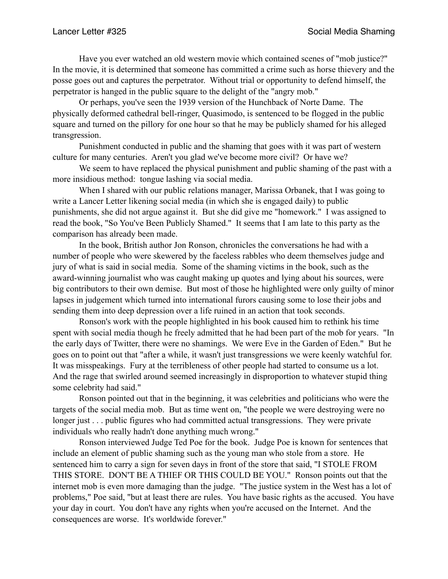Have you ever watched an old western movie which contained scenes of "mob justice?" In the movie, it is determined that someone has committed a crime such as horse thievery and the posse goes out and captures the perpetrator. Without trial or opportunity to defend himself, the perpetrator is hanged in the public square to the delight of the "angry mob."

 Or perhaps, you've seen the 1939 version of the Hunchback of Norte Dame. The physically deformed cathedral bell-ringer, Quasimodo, is sentenced to be flogged in the public square and turned on the pillory for one hour so that he may be publicly shamed for his alleged transgression.

 Punishment conducted in public and the shaming that goes with it was part of western culture for many centuries. Aren't you glad we've become more civil? Or have we?

 We seem to have replaced the physical punishment and public shaming of the past with a more insidious method: tongue lashing via social media.

 When I shared with our public relations manager, Marissa Orbanek, that I was going to write a Lancer Letter likening social media (in which she is engaged daily) to public punishments, she did not argue against it. But she did give me "homework." I was assigned to read the book, "So You've Been Publicly Shamed." It seems that I am late to this party as the comparison has already been made.

 In the book, British author Jon Ronson, chronicles the conversations he had with a number of people who were skewered by the faceless rabbles who deem themselves judge and jury of what is said in social media. Some of the shaming victims in the book, such as the award-winning journalist who was caught making up quotes and lying about his sources, were big contributors to their own demise. But most of those he highlighted were only guilty of minor lapses in judgement which turned into international furors causing some to lose their jobs and sending them into deep depression over a life ruined in an action that took seconds.

 Ronson's work with the people highlighted in his book caused him to rethink his time spent with social media though he freely admitted that he had been part of the mob for years. "In the early days of Twitter, there were no shamings. We were Eve in the Garden of Eden." But he goes on to point out that "after a while, it wasn't just transgressions we were keenly watchful for. It was misspeakings. Fury at the terribleness of other people had started to consume us a lot. And the rage that swirled around seemed increasingly in disproportion to whatever stupid thing some celebrity had said."

 Ronson pointed out that in the beginning, it was celebrities and politicians who were the targets of the social media mob. But as time went on, "the people we were destroying were no longer just . . . public figures who had committed actual transgressions. They were private individuals who really hadn't done anything much wrong."

 Ronson interviewed Judge Ted Poe for the book. Judge Poe is known for sentences that include an element of public shaming such as the young man who stole from a store. He sentenced him to carry a sign for seven days in front of the store that said, "I STOLE FROM THIS STORE. DON'T BE A THIEF OR THIS COULD BE YOU." Ronson points out that the internet mob is even more damaging than the judge. "The justice system in the West has a lot of problems," Poe said, "but at least there are rules. You have basic rights as the accused. You have your day in court. You don't have any rights when you're accused on the Internet. And the consequences are worse. It's worldwide forever."